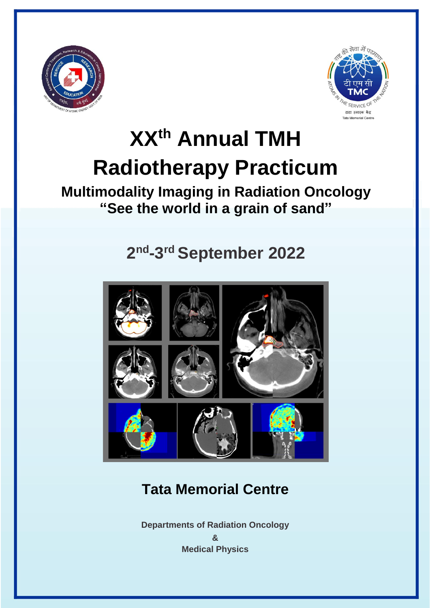



# **XXth Annual TMH Radiotherapy Practicum**

## **Multimodality Imaging in Radiation Oncology "See the world in a grain of sand"**

## **2 nd -3 rd September 2022**



## **Tata Memorial Centre**

**Departments of Radiation Oncology & Medical Physics**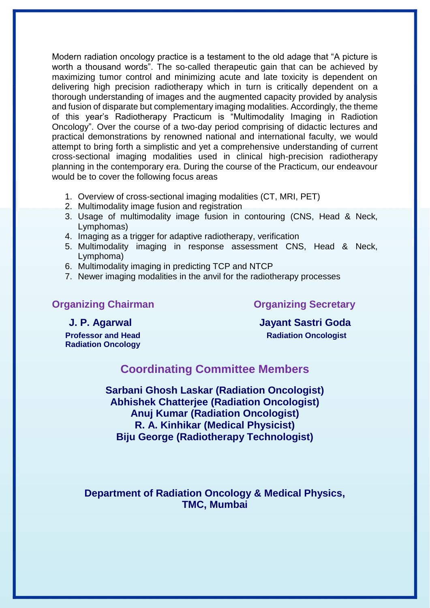Modern radiation oncology practice is a testament to the old adage that "A picture is worth a thousand words". The so-called therapeutic gain that can be achieved by maximizing tumor control and minimizing acute and late toxicity is dependent on delivering high precision radiotherapy which in turn is critically dependent on a thorough understanding of images and the augmented capacity provided by analysis and fusion of disparate but complementary imaging modalities. Accordingly, the theme of this year's Radiotherapy Practicum is "Multimodality Imaging in Radiotion Oncology". Over the course of a two-day period comprising of didactic lectures and practical demonstrations by renowned national and international faculty, we would attempt to bring forth a simplistic and yet a comprehensive understanding of current cross-sectional imaging modalities used in clinical high-precision radiotherapy planning in the contemporary era. During the course of the Practicum, our endeavour would be to cover the following focus areas

- 1. Overview of cross-sectional imaging modalities (CT, MRI, PET)
- 2. Multimodality image fusion and registration
- 3. Usage of multimodality image fusion in contouring (CNS, Head & Neck, Lymphomas)
- 4. Imaging as a trigger for adaptive radiotherapy, verification
- 5. Multimodality imaging in response assessment CNS, Head & Neck, Lymphoma)
- 6. Multimodality imaging in predicting TCP and NTCP
- 7. Newer imaging modalities in the anvil for the radiotherapy processes

### **Organizing Chairman Chairman Chairman Chairman Chairman Chairman Chairman Chairman Chairman Chairman Chairman Chairman Chairman Chairman Chairman Chairman Chairman Chairman Chairman Chairman Chairman Chairman Chairman Cha**

 **J. P. Agarwal Jayant Sastri Goda Professor and Head Radiation Oncologist** 

## **Radiation Oncology**

### **Coordinating Committee Members**

**Sarbani Ghosh Laskar (Radiation Oncologist) Abhishek Chatterjee (Radiation Oncologist) Anuj Kumar (Radiation Oncologist) R. A. Kinhikar (Medical Physicist) Biju George (Radiotherapy Technologist)**

**Department of Radiation Oncology & Medical Physics, TMC, Mumbai**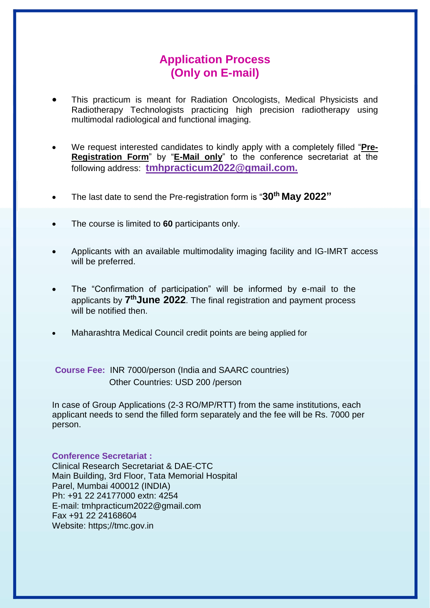### **Application Process (Only on E-mail)**

- This practicum is meant for Radiation Oncologists, Medical Physicists and Radiotherapy Technologists practicing high precision radiotherapy using multimodal radiological and functional imaging.
- We request interested candidates to kindly apply with a completely filled "**Pre-Registration Form**" by "**E-Mail only**" to the conference secretariat at the following address: **tmhpracticum2022@gmail.com.**
- The last date to send the Pre-registration form is "**30th May 2022"**
- The course is limited to **60** participants only.
- Applicants with an available multimodality imaging facility and IG-IMRT access will be preferred.
- The "Confirmation of participation" will be informed by e-mail to the applicants by **7 thJune 2022**. The final registration and payment process will be notified then.
- Maharashtra Medical Council credit points are being applied for

**Course Fee:** INR 7000/person (India and SAARC countries) Other Countries: USD 200 /person

In case of Group Applications (2-3 RO/MP/RTT) from the same institutions, each applicant needs to send the filled form separately and the fee will be Rs. 7000 per person.

### **Conference Secretariat :**

Clinical Research Secretariat & DAE-CTC Main Building, 3rd Floor, Tata Memorial Hospital Parel, Mumbai 400012 (INDIA) Ph: +91 22 24177000 extn: 4254 E-mail: [tmhpracticum2022@gmail.com](mailto:tmhpracticum2022@gmail.com) Fax +91 22 24168604 Website: https;//tmc.gov.in